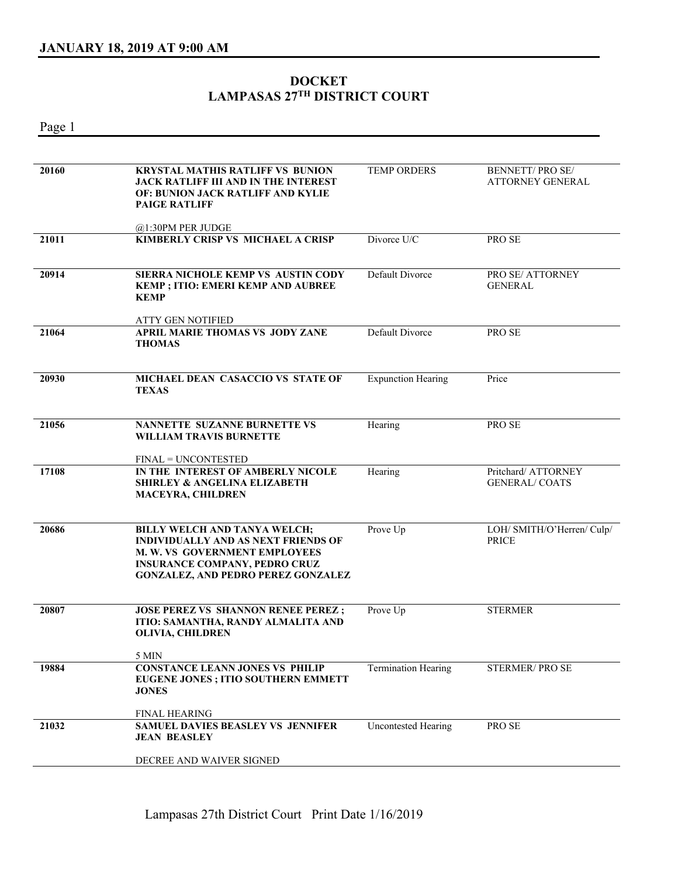## **DOCKET LAMPASAS 27TH DISTRICT COURT**

Page 1

| 20160 | <b>KRYSTAL MATHIS RATLIFF VS BUNION</b><br>JACK RATLIFF III AND IN THE INTEREST<br><b>OF: BUNION JACK RATLIFF AND KYLIE</b><br><b>PAIGE RATLIFF</b>                                                     | <b>TEMP ORDERS</b>         | <b>BENNETT/PROSE/</b><br><b>ATTORNEY GENERAL</b> |
|-------|---------------------------------------------------------------------------------------------------------------------------------------------------------------------------------------------------------|----------------------------|--------------------------------------------------|
|       | @1:30PM PER JUDGE                                                                                                                                                                                       |                            |                                                  |
| 21011 | KIMBERLY CRISP VS MICHAEL A CRISP                                                                                                                                                                       | Divorce U/C                | PRO SE                                           |
| 20914 | SIERRA NICHOLE KEMP VS AUSTIN CODY<br><b>KEMP ; ITIO: EMERI KEMP AND AUBREE</b><br><b>KEMP</b>                                                                                                          | Default Divorce            | PRO SE/ ATTORNEY<br><b>GENERAL</b>               |
|       | <b>ATTY GEN NOTIFIED</b>                                                                                                                                                                                |                            |                                                  |
| 21064 | APRIL MARIE THOMAS VS JODY ZANE<br><b>THOMAS</b>                                                                                                                                                        | Default Divorce            | PRO SE                                           |
| 20930 | <b>MICHAEL DEAN CASACCIO VS STATE OF</b><br><b>TEXAS</b>                                                                                                                                                | <b>Expunction Hearing</b>  | Price                                            |
| 21056 | <b>NANNETTE SUZANNE BURNETTE VS</b><br>WILLIAM TRAVIS BURNETTE                                                                                                                                          | Hearing                    | PRO SE                                           |
| 17108 | <b>FINAL = UNCONTESTED</b><br>IN THE INTEREST OF AMBERLY NICOLE<br><b>SHIRLEY &amp; ANGELINA ELIZABETH</b><br><b>MACEYRA, CHILDREN</b>                                                                  | Hearing                    | Pritchard/ ATTORNEY<br><b>GENERAL/COATS</b>      |
| 20686 | <b>BILLY WELCH AND TANYA WELCH;</b><br><b>INDIVIDUALLY AND AS NEXT FRIENDS OF</b><br>M. W. VS GOVERNMENT EMPLOYEES<br><b>INSURANCE COMPANY, PEDRO CRUZ</b><br><b>GONZALEZ, AND PEDRO PEREZ GONZALEZ</b> | Prove Up                   | LOH/ SMITH/O'Herren/ Culp/<br><b>PRICE</b>       |
| 20807 | <b>JOSE PEREZ VS SHANNON RENEE PEREZ ;</b><br>ITIO: SAMANTHA, RANDY ALMALITA AND<br>OLIVIA, CHILDREN                                                                                                    | Prove Up                   | <b>STERMER</b>                                   |
|       | 5 MIN                                                                                                                                                                                                   |                            |                                                  |
| 19884 | <b>CONSTANCE LEANN JONES VS PHILIP</b><br><b>EUGENE JONES ; ITIO SOUTHERN EMMETT</b><br><b>JONES</b><br><b>FINAL HEARING</b>                                                                            | <b>Termination Hearing</b> | STERMER/PROSE                                    |
| 21032 | <b>SAMUEL DAVIES BEASLEY VS JENNIFER</b><br><b>JEAN BEASLEY</b>                                                                                                                                         | <b>Uncontested Hearing</b> | PRO SE                                           |
|       | DECREE AND WAIVER SIGNED                                                                                                                                                                                |                            |                                                  |